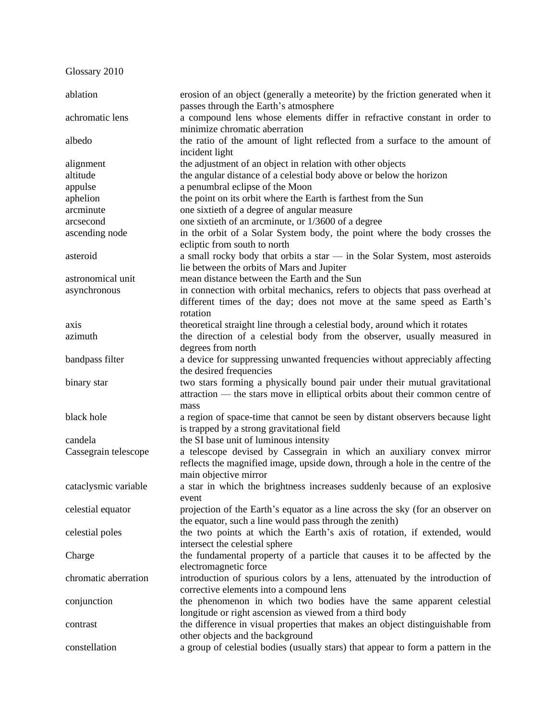Glossary 2010

| ablation             | erosion of an object (generally a meteorite) by the friction generated when it<br>passes through the Earth's atmosphere |
|----------------------|-------------------------------------------------------------------------------------------------------------------------|
| achromatic lens      | a compound lens whose elements differ in refractive constant in order to<br>minimize chromatic aberration               |
| albedo               | the ratio of the amount of light reflected from a surface to the amount of<br>incident light                            |
| alignment            | the adjustment of an object in relation with other objects                                                              |
| altitude             | the angular distance of a celestial body above or below the horizon                                                     |
| appulse              | a penumbral eclipse of the Moon                                                                                         |
| aphelion             | the point on its orbit where the Earth is farthest from the Sun                                                         |
| arcminute            | one sixtieth of a degree of angular measure                                                                             |
| arcsecond            | one sixtieth of an arcminute, or 1/3600 of a degree                                                                     |
| ascending node       | in the orbit of a Solar System body, the point where the body crosses the                                               |
|                      | ecliptic from south to north                                                                                            |
| asteroid             | a small rocky body that orbits a star - in the Solar System, most asteroids                                             |
|                      | lie between the orbits of Mars and Jupiter                                                                              |
| astronomical unit    | mean distance between the Earth and the Sun                                                                             |
| asynchronous         | in connection with orbital mechanics, refers to objects that pass overhead at                                           |
|                      | different times of the day; does not move at the same speed as Earth's                                                  |
|                      | rotation                                                                                                                |
| axis                 | theoretical straight line through a celestial body, around which it rotates                                             |
| azimuth              | the direction of a celestial body from the observer, usually measured in                                                |
|                      | degrees from north                                                                                                      |
| bandpass filter      | a device for suppressing unwanted frequencies without appreciably affecting                                             |
|                      | the desired frequencies                                                                                                 |
| binary star          | two stars forming a physically bound pair under their mutual gravitational                                              |
|                      | attraction — the stars move in elliptical orbits about their common centre of                                           |
|                      | mass                                                                                                                    |
| black hole           | a region of space-time that cannot be seen by distant observers because light                                           |
|                      | is trapped by a strong gravitational field                                                                              |
| candela              | the SI base unit of luminous intensity                                                                                  |
| Cassegrain telescope | a telescope devised by Cassegrain in which an auxiliary convex mirror                                                   |
|                      | reflects the magnified image, upside down, through a hole in the centre of the                                          |
|                      | main objective mirror                                                                                                   |
| cataclysmic variable | a star in which the brightness increases suddenly because of an explosive                                               |
|                      | event                                                                                                                   |
| celestial equator    | projection of the Earth's equator as a line across the sky (for an observer on                                          |
|                      | the equator, such a line would pass through the zenith)                                                                 |
| celestial poles      | the two points at which the Earth's axis of rotation, if extended, would                                                |
|                      | intersect the celestial sphere                                                                                          |
| Charge               | the fundamental property of a particle that causes it to be affected by the                                             |
|                      | electromagnetic force                                                                                                   |
| chromatic aberration | introduction of spurious colors by a lens, attenuated by the introduction of                                            |
|                      | corrective elements into a compound lens                                                                                |
| conjunction          | the phenomenon in which two bodies have the same apparent celestial                                                     |
|                      | longitude or right ascension as viewed from a third body                                                                |
| contrast             | the difference in visual properties that makes an object distinguishable from                                           |
|                      | other objects and the background                                                                                        |
| constellation        | a group of celestial bodies (usually stars) that appear to form a pattern in the                                        |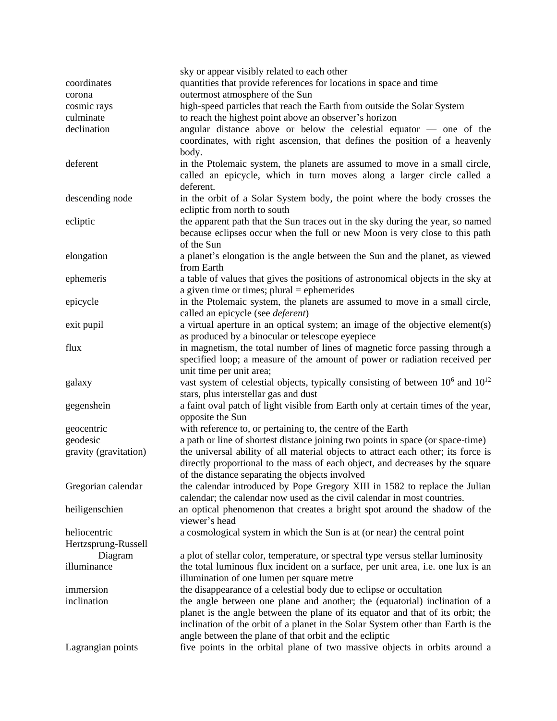|                       | sky or appear visibly related to each other                                            |
|-----------------------|----------------------------------------------------------------------------------------|
| coordinates           | quantities that provide references for locations in space and time                     |
| corona                | outermost atmosphere of the Sun                                                        |
| cosmic rays           | high-speed particles that reach the Earth from outside the Solar System                |
| culminate             | to reach the highest point above an observer's horizon                                 |
| declination           | angular distance above or below the celestial equator - one of the                     |
|                       | coordinates, with right ascension, that defines the position of a heavenly             |
|                       | body.                                                                                  |
| deferent              | in the Ptolemaic system, the planets are assumed to move in a small circle,            |
|                       | called an epicycle, which in turn moves along a larger circle called a                 |
|                       | deferent.                                                                              |
| descending node       | in the orbit of a Solar System body, the point where the body crosses the              |
|                       | ecliptic from north to south                                                           |
| ecliptic              | the apparent path that the Sun traces out in the sky during the year, so named         |
|                       |                                                                                        |
|                       | because eclipses occur when the full or new Moon is very close to this path            |
|                       | of the Sun                                                                             |
| elongation            | a planet's elongation is the angle between the Sun and the planet, as viewed           |
|                       | from Earth                                                                             |
| ephemeris             | a table of values that gives the positions of astronomical objects in the sky at       |
|                       | a given time or times; $plural = ephemerides$                                          |
| epicycle              | in the Ptolemaic system, the planets are assumed to move in a small circle,            |
|                       | called an epicycle (see <i>deferent</i> )                                              |
| exit pupil            | a virtual aperture in an optical system; an image of the objective element(s)          |
|                       | as produced by a binocular or telescope eyepiece                                       |
| flux                  | in magnetism, the total number of lines of magnetic force passing through a            |
|                       | specified loop; a measure of the amount of power or radiation received per             |
|                       | unit time per unit area;                                                               |
| galaxy                | vast system of celestial objects, typically consisting of between $10^6$ and $10^{12}$ |
|                       | stars, plus interstellar gas and dust                                                  |
| gegenshein            | a faint oval patch of light visible from Earth only at certain times of the year,      |
|                       | opposite the Sun                                                                       |
| geocentric            | with reference to, or pertaining to, the centre of the Earth                           |
| geodesic              | a path or line of shortest distance joining two points in space (or space-time)        |
| gravity (gravitation) | the universal ability of all material objects to attract each other; its force is      |
|                       | directly proportional to the mass of each object, and decreases by the square          |
|                       | of the distance separating the objects involved                                        |
| Gregorian calendar    | the calendar introduced by Pope Gregory XIII in 1582 to replace the Julian             |
|                       | calendar; the calendar now used as the civil calendar in most countries.               |
| heiligenschien        | an optical phenomenon that creates a bright spot around the shadow of the              |
|                       | viewer's head                                                                          |
| heliocentric          | a cosmological system in which the Sun is at (or near) the central point               |
| Hertzsprung-Russell   |                                                                                        |
| Diagram               | a plot of stellar color, temperature, or spectral type versus stellar luminosity       |
| illuminance           | the total luminous flux incident on a surface, per unit area, i.e. one lux is an       |
|                       | illumination of one lumen per square metre                                             |
| immersion             | the disappearance of a celestial body due to eclipse or occultation                    |
| inclination           | the angle between one plane and another; the (equatorial) inclination of a             |
|                       | planet is the angle between the plane of its equator and that of its orbit; the        |
|                       | inclination of the orbit of a planet in the Solar System other than Earth is the       |
|                       | angle between the plane of that orbit and the ecliptic                                 |
|                       | five points in the orbital plane of two massive objects in orbits around a             |
| Lagrangian points     |                                                                                        |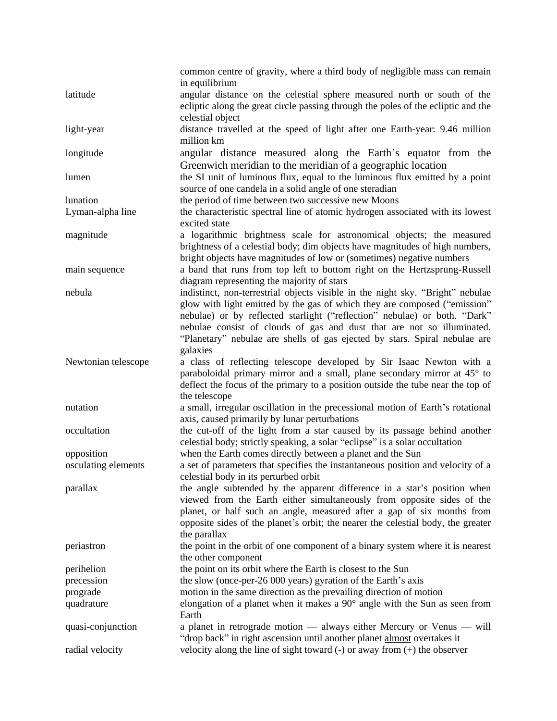|                     | common centre of gravity, where a third body of negligible mass can remain<br>in equilibrium                                                                                                                                                                                                                                                                                                                 |
|---------------------|--------------------------------------------------------------------------------------------------------------------------------------------------------------------------------------------------------------------------------------------------------------------------------------------------------------------------------------------------------------------------------------------------------------|
| latitude            | angular distance on the celestial sphere measured north or south of the<br>ecliptic along the great circle passing through the poles of the ecliptic and the                                                                                                                                                                                                                                                 |
| light-year          | celestial object<br>distance travelled at the speed of light after one Earth-year: 9.46 million<br>million km                                                                                                                                                                                                                                                                                                |
| longitude           | angular distance measured along the Earth's equator from the<br>Greenwich meridian to the meridian of a geographic location                                                                                                                                                                                                                                                                                  |
| lumen               | the SI unit of luminous flux, equal to the luminous flux emitted by a point<br>source of one candela in a solid angle of one steradian                                                                                                                                                                                                                                                                       |
| lunation            | the period of time between two successive new Moons                                                                                                                                                                                                                                                                                                                                                          |
| Lyman-alpha line    | the characteristic spectral line of atomic hydrogen associated with its lowest<br>excited state                                                                                                                                                                                                                                                                                                              |
| magnitude           | a logarithmic brightness scale for astronomical objects; the measured<br>brightness of a celestial body; dim objects have magnitudes of high numbers,<br>bright objects have magnitudes of low or (sometimes) negative numbers                                                                                                                                                                               |
| main sequence       | a band that runs from top left to bottom right on the Hertzsprung-Russell<br>diagram representing the majority of stars                                                                                                                                                                                                                                                                                      |
| nebula              | indistinct, non-terrestrial objects visible in the night sky. "Bright" nebulae<br>glow with light emitted by the gas of which they are composed ("emission"<br>nebulae) or by reflected starlight ("reflection" nebulae) or both. "Dark"<br>nebulae consist of clouds of gas and dust that are not so illuminated.<br>"Planetary" nebulae are shells of gas ejected by stars. Spiral nebulae are<br>galaxies |
| Newtonian telescope | a class of reflecting telescope developed by Sir Isaac Newton with a<br>paraboloidal primary mirror and a small, plane secondary mirror at 45° to<br>deflect the focus of the primary to a position outside the tube near the top of<br>the telescope                                                                                                                                                        |
| nutation            | a small, irregular oscillation in the precessional motion of Earth's rotational<br>axis, caused primarily by lunar perturbations                                                                                                                                                                                                                                                                             |
| occultation         | the cut-off of the light from a star caused by its passage behind another<br>celestial body; strictly speaking, a solar "eclipse" is a solar occultation                                                                                                                                                                                                                                                     |
| opposition          | when the Earth comes directly between a planet and the Sun                                                                                                                                                                                                                                                                                                                                                   |
| osculating elements | a set of parameters that specifies the instantaneous position and velocity of a<br>celestial body in its perturbed orbit                                                                                                                                                                                                                                                                                     |
| parallax            | the angle subtended by the apparent difference in a star's position when<br>viewed from the Earth either simultaneously from opposite sides of the<br>planet, or half such an angle, measured after a gap of six months from<br>opposite sides of the planet's orbit; the nearer the celestial body, the greater<br>the parallax                                                                             |
| periastron          | the point in the orbit of one component of a binary system where it is nearest<br>the other component                                                                                                                                                                                                                                                                                                        |
| perihelion          | the point on its orbit where the Earth is closest to the Sun                                                                                                                                                                                                                                                                                                                                                 |
| precession          | the slow (once-per-26 000 years) gyration of the Earth's axis                                                                                                                                                                                                                                                                                                                                                |
| prograde            | motion in the same direction as the prevailing direction of motion                                                                                                                                                                                                                                                                                                                                           |
| quadrature          | elongation of a planet when it makes a $90^{\circ}$ angle with the Sun as seen from<br>Earth                                                                                                                                                                                                                                                                                                                 |
| quasi-conjunction   | a planet in retrograde motion — always either Mercury or Venus — will<br>"drop back" in right ascension until another planet almost overtakes it                                                                                                                                                                                                                                                             |
| radial velocity     | velocity along the line of sight toward $(-)$ or away from $(+)$ the observer                                                                                                                                                                                                                                                                                                                                |